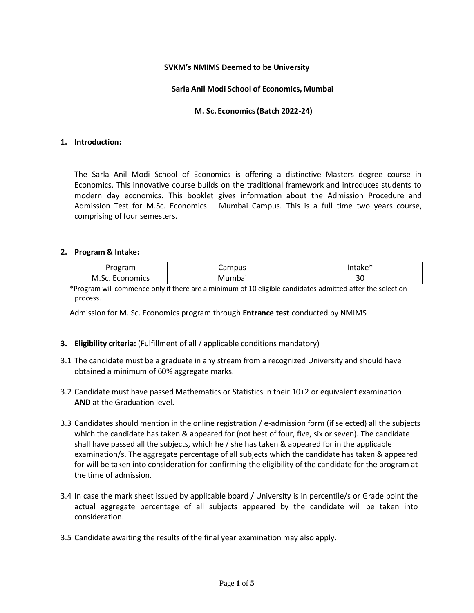#### **SVKM's NMIMS Deemed to be University**

### **Sarla Anil Modi School of Economics, Mumbai**

#### **M. Sc. Economics(Batch 2022-24)**

#### **1. Introduction:**

The Sarla Anil Modi School of Economics is offering a distinctive Masters degree course in Economics. This innovative course builds on the traditional framework and introduces students to modern day economics. This booklet gives information about the Admission Procedure and Admission Test for M.Sc. Economics – Mumbai Campus. This is a full time two years course, comprising of four semesters.

#### **2. Program & Intake:**

|                 | Campus | Intake* |
|-----------------|--------|---------|
| M.Sc. Economics | Mumbai | Jυ      |

\*Program will commence only if there are a minimum of 10 eligible candidates admitted after the selection process.

Admission for M. Sc. Economics program through **Entrance test** conducted by NMIMS

#### **3. Eligibility criteria:** (Fulfillment of all / applicable conditions mandatory)

- 3.1 The candidate must be a graduate in any stream from a recognized University and should have obtained a minimum of 60% aggregate marks.
- 3.2 Candidate must have passed Mathematics or Statistics in their 10+2 or equivalent examination **AND** at the Graduation level.
- 3.3 Candidates should mention in the online registration / e-admission form (if selected) all the subjects which the candidate has taken & appeared for (not best of four, five, six or seven). The candidate shall have passed all the subjects, which he / she has taken & appeared for in the applicable examination/s. The aggregate percentage of all subjects which the candidate has taken & appeared for will be taken into consideration for confirming the eligibility of the candidate for the program at the time of admission.
- 3.4 In case the mark sheet issued by applicable board / University is in percentile/s or Grade point the actual aggregate percentage of all subjects appeared by the candidate will be taken into consideration.
- 3.5 Candidate awaiting the results of the final year examination may also apply.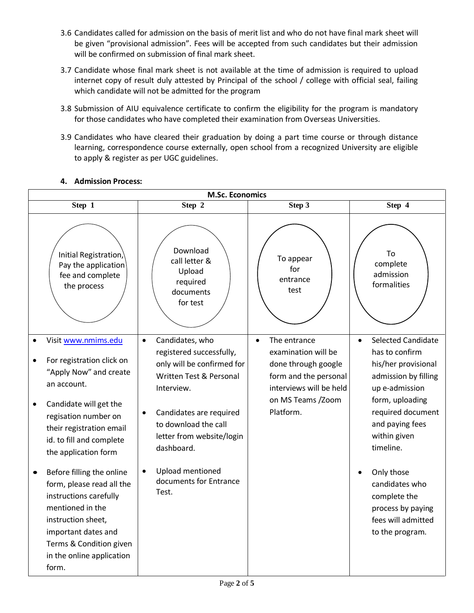- 3.6 Candidates called for admission on the basis of merit list and who do not have final mark sheet will be given "provisional admission". Fees will be accepted from such candidates but their admission will be confirmed on submission of final mark sheet.
- 3.7 Candidate whose final mark sheet is not available at the time of admission is required to upload internet copy of result duly attested by Principal of the school / college with official seal, failing which candidate will not be admitted for the program
- 3.8 Submission of AIU equivalence certificate to confirm the eligibility for the program is mandatory for those candidates who have completed their examination from Overseas Universities.
- 3.9 Candidates who have cleared their graduation by doing a part time course or through distance learning, correspondence course externally, open school from a recognized University are eligible to apply & register as per UGC guidelines.

# **4. Admission Process:**

| <b>M.Sc. Economics</b>                                                                                                                                                                                                                   |                                                                                                                                                                                                                               |                                                                                                                                                               |                                                                                                                                                                                                                   |  |
|------------------------------------------------------------------------------------------------------------------------------------------------------------------------------------------------------------------------------------------|-------------------------------------------------------------------------------------------------------------------------------------------------------------------------------------------------------------------------------|---------------------------------------------------------------------------------------------------------------------------------------------------------------|-------------------------------------------------------------------------------------------------------------------------------------------------------------------------------------------------------------------|--|
| Step 1                                                                                                                                                                                                                                   | Step 2                                                                                                                                                                                                                        | Step 3                                                                                                                                                        | Step 4                                                                                                                                                                                                            |  |
| Initial Registration,<br>Pay the application<br>fee and complete<br>the process                                                                                                                                                          | Download<br>call letter &<br>Upload<br>required<br>documents<br>for test                                                                                                                                                      | To appear<br>for<br>entrance<br>test                                                                                                                          | To<br>complete<br>admission<br>formalities                                                                                                                                                                        |  |
| Visit www.nmims.edu<br>For registration click on<br>"Apply Now" and create<br>an account.<br>Candidate will get the<br>$\bullet$<br>regisation number on<br>their registration email<br>id. to fill and complete<br>the application form | Candidates, who<br>$\bullet$<br>registered successfully,<br>only will be confirmed for<br>Written Test & Personal<br>Interview.<br>Candidates are required<br>to download the call<br>letter from website/login<br>dashboard. | The entrance<br>$\bullet$<br>examination will be<br>done through google<br>form and the personal<br>interviews will be held<br>on MS Teams /Zoom<br>Platform. | <b>Selected Candidate</b><br>$\bullet$<br>has to confirm<br>his/her provisional<br>admission by filling<br>up e-admission<br>form, uploading<br>required document<br>and paying fees<br>within given<br>timeline. |  |
| Before filling the online<br>form, please read all the<br>instructions carefully<br>mentioned in the<br>instruction sheet,<br>important dates and<br>Terms & Condition given<br>in the online application<br>form.                       | Upload mentioned<br>documents for Entrance<br>Test.                                                                                                                                                                           |                                                                                                                                                               | Only those<br>candidates who<br>complete the<br>process by paying<br>fees will admitted<br>to the program.                                                                                                        |  |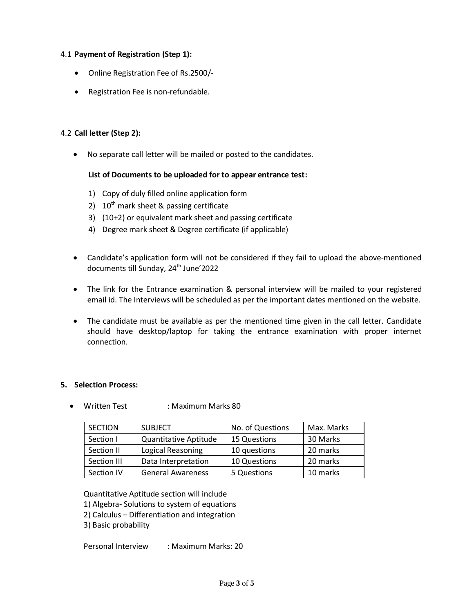# 4.1 **Payment of Registration (Step 1):**

- Online Registration Fee of Rs.2500/-
- Registration Fee is non-refundable.

# 4.2 **Call letter (Step 2):**

No separate call letter will be mailed or posted to the candidates.

## **List of Documents to be uploaded for to appear entrance test:**

- 1) Copy of duly filled online application form
- 2)  $10^{th}$  mark sheet & passing certificate
- 3) (10+2) or equivalent mark sheet and passing certificate
- 4) Degree mark sheet & Degree certificate (if applicable)
- Candidate's application form will not be considered if they fail to upload the above-mentioned documents till Sunday, 24<sup>th</sup> June'2022
- The link for the Entrance examination & personal interview will be mailed to your registered email id. The Interviews will be scheduled as per the important dates mentioned on the website.
- The candidate must be available as per the mentioned time given in the call letter. Candidate should have desktop/laptop for taking the entrance examination with proper internet connection.

## **5. Selection Process:**

Written Test : Maximum Marks 80

| <b>SECTION</b>                         | <b>SUBJECT</b>               | No. of Questions    | Max. Marks |
|----------------------------------------|------------------------------|---------------------|------------|
| Section I                              | <b>Quantitative Aptitude</b> | <b>15 Questions</b> | 30 Marks   |
| Section II                             | Logical Reasoning            | 10 questions        | 20 marks   |
| Data Interpretation<br>Section III     |                              | 10 Questions        | 20 marks   |
| <b>General Awareness</b><br>Section IV |                              | 5 Questions         | 10 marks   |

Quantitative Aptitude section will include

- 1) Algebra- Solutions to system of equations
- 2) Calculus Differentiation and integration
- 3) Basic probability

Personal Interview : Maximum Marks: 20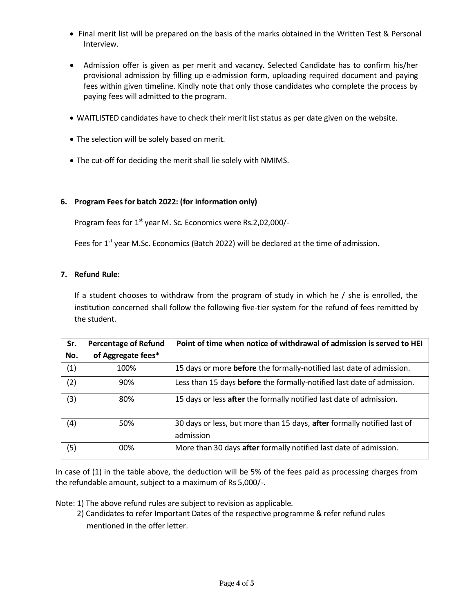- Final merit list will be prepared on the basis of the marks obtained in the Written Test & Personal Interview.
- Admission offer is given as per merit and vacancy. Selected Candidate has to confirm his/her provisional admission by filling up e-admission form, uploading required document and paying fees within given timeline. Kindly note that only those candidates who complete the process by paying fees will admitted to the program.
- WAITLISTED candidates have to check their merit list status as per date given on the website.
- The selection will be solely based on merit.
- The cut-off for deciding the merit shall lie solely with NMIMS.

## **6. Program Feesfor batch 2022: (for information only)**

Program fees for 1<sup>st</sup> year M. Sc. Economics were Rs.2,02,000/-

Fees for  $1<sup>st</sup>$  year M.Sc. Economics (Batch 2022) will be declared at the time of admission.

#### **7. Refund Rule:**

If a student chooses to withdraw from the program of study in which he / she is enrolled, the institution concerned shall follow the following five-tier system for the refund of fees remitted by the student.

| Sr. | <b>Percentage of Refund</b> | Point of time when notice of withdrawal of admission is served to HEI                |
|-----|-----------------------------|--------------------------------------------------------------------------------------|
| No. | of Aggregate fees*          |                                                                                      |
| (1) | 100%                        | 15 days or more before the formally-notified last date of admission.                 |
| (2) | 90%                         | Less than 15 days <b>before</b> the formally-notified last date of admission.        |
| (3) | 80%                         | 15 days or less after the formally notified last date of admission.                  |
| (4) | 50%                         | 30 days or less, but more than 15 days, after formally notified last of<br>admission |
| (5) | 00%                         | More than 30 days after formally notified last date of admission.                    |

In case of (1) in the table above, the deduction will be 5% of the fees paid as processing charges from the refundable amount, subject to a maximum of Rs 5,000/-.

Note: 1) The above refund rules are subject to revision as applicable.

 2) Candidates to refer Important Dates of the respective programme & refer refund rules mentioned in the offer letter.